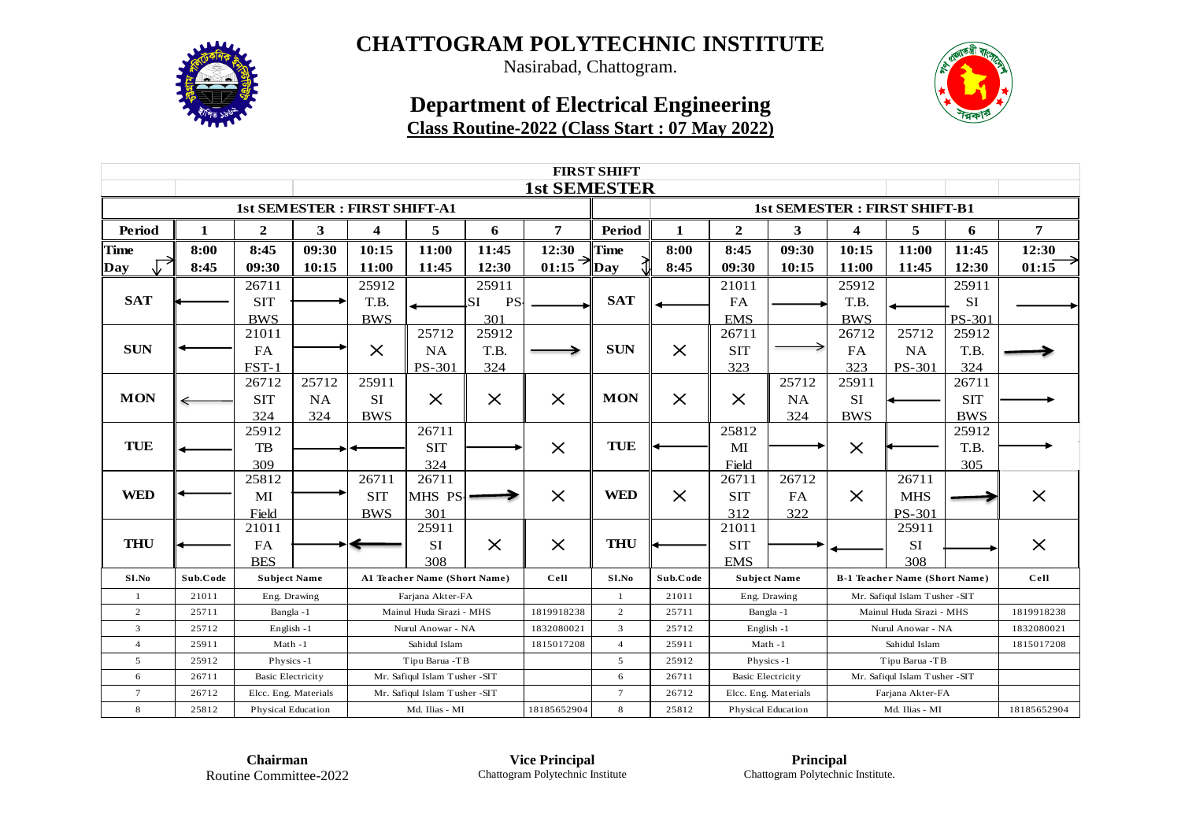

Nasirabad, Chattogram.

### **Department of Electrical Engineering Class Routine-2022 (Class Start : 07 May 2022)**



| <b>FIRST SHIFT</b> |          |                                     |           |                |                                |                        |                     |                |              |                           |                      |                               |                                      |            |                |
|--------------------|----------|-------------------------------------|-----------|----------------|--------------------------------|------------------------|---------------------|----------------|--------------|---------------------------|----------------------|-------------------------------|--------------------------------------|------------|----------------|
|                    |          |                                     |           |                |                                |                        | <b>1st SEMESTER</b> |                |              |                           |                      |                               |                                      |            |                |
|                    |          | <b>1st SEMESTER: FIRST SHIFT-A1</b> |           |                |                                |                        |                     |                |              |                           |                      |                               | <b>1st SEMESTER: FIRST SHIFT-B1</b>  |            |                |
| Period             | 1        | $\boldsymbol{2}$                    | 3         | 4              | 5                              | 6                      | 7                   | Period         | $\mathbf{1}$ | $\boldsymbol{2}$          | 3                    | 4                             | 5                                    | 6          | $\overline{7}$ |
| <b>Time</b>        | 8:00     | 8:45                                | 09:30     | 10:15          | 11:00                          | 11:45                  | 12:30               | Time           | 8:00         | 8:45                      | 09:30                | 10:15                         | 11:00                                | 11:45      | 12:30          |
| Day                | 8:45     | 09:30                               | 10:15     | 11:00          | 11:45                          | 12:30                  | $01:15$ Day         |                | 8:45         | 09:30                     | 10:15                | 11:00                         | 11:45                                | 12:30      | 01:15          |
|                    |          | 26711                               |           | 25912          |                                | 25911                  |                     |                |              | 21011                     |                      | 25912                         |                                      | 25911      |                |
| <b>SAT</b>         |          | <b>SIT</b>                          |           | T.B.           |                                | <b>PS</b><br><b>SI</b> |                     | <b>SAT</b>     |              | FA                        |                      | T.B.                          |                                      | SI         |                |
|                    |          | <b>BWS</b>                          |           | <b>BWS</b>     |                                | 301                    |                     |                |              | <b>EMS</b>                |                      | <b>BWS</b>                    |                                      | PS-301     |                |
|                    |          | 21011                               |           |                | 25712                          | 25912                  |                     |                |              | 26711                     |                      | 26712                         | 25712                                | 25912      |                |
| <b>SUN</b>         |          | <b>FA</b>                           |           | $\times$       | NA                             | T.B.                   |                     | <b>SUN</b>     | $\times$     | <b>SIT</b>                |                      | FA                            | NA                                   | T.B.       |                |
|                    |          | FST-1                               |           |                | <b>PS-301</b>                  | 324                    |                     |                |              | 323                       |                      | 323                           | <b>PS-301</b>                        | 324        |                |
|                    |          | 26712                               | 25712     | 25911          |                                |                        |                     |                |              |                           | 25712                | 25911                         |                                      | 26711      |                |
| <b>MON</b>         |          | <b>SIT</b>                          | <b>NA</b> | <b>SI</b>      | $\times$                       | $\times$               | $\times$            | <b>MON</b>     | $\times$     | $\times$                  | <b>NA</b>            | SI                            |                                      | <b>SIT</b> |                |
|                    |          | 324                                 | 324       | <b>BWS</b>     |                                |                        |                     |                |              |                           | 324                  | <b>BWS</b>                    |                                      | <b>BWS</b> |                |
|                    |          | 25912                               |           |                | 26711                          |                        |                     |                |              | 25812                     |                      |                               |                                      | 25912      |                |
| <b>TUE</b>         |          | TB                                  |           |                | <b>SIT</b>                     |                        | $\times$            | TUE            |              | MI                        |                      | $\times$                      |                                      | T.B.       |                |
|                    |          | 309                                 |           |                | 324                            |                        |                     |                |              | Field                     |                      |                               |                                      | 305        |                |
|                    |          | 25812                               |           | 26711          | 26711                          |                        |                     |                |              | 26711                     | 26712                |                               | 26711                                |            |                |
| <b>WED</b>         |          | MI                                  |           | <b>SIT</b>     | MHS PS-                        |                        | $\times$            | <b>WED</b>     | $\times$     | <b>SIT</b>                | FA                   | $\times$                      | <b>MHS</b>                           |            | $\times$       |
|                    |          | Field                               |           | <b>BWS</b>     | 301                            |                        |                     |                |              | 312                       | 322                  |                               | <b>PS-301</b>                        |            |                |
|                    |          | 21011                               |           |                | 25911                          |                        |                     |                |              | 21011                     |                      |                               | 25911                                |            |                |
| <b>THU</b>         |          | <b>FA</b>                           |           |                | <b>SI</b>                      | $\times$               | $\times$            | <b>THU</b>     |              | <b>SIT</b>                |                      |                               | SI                                   |            | $\times$       |
|                    |          | <b>BES</b>                          |           |                | 308                            |                        |                     |                |              | <b>EMS</b>                |                      |                               | 308                                  |            |                |
| Sl.No              | Sub.Code | <b>Subject Name</b>                 |           |                | A1 Teacher Name (Short Name)   |                        | Cell                | S1.No          | Sub.Code     |                           | <b>Subject Name</b>  |                               | <b>B-1 Teacher Name (Short Name)</b> |            | Cell           |
| $\mathbf{1}$       | 21011    | Eng. Drawing                        |           |                | Farjana Akter-FA               |                        |                     | $\mathbf{1}$   | 21011        |                           | Eng. Drawing         |                               | Mr. Safiqul Islam Tusher -SIT        |            |                |
| 2                  | 25711    | Bangla-1                            |           |                | Mainul Huda Sirazi - MHS       |                        | 1819918238          | $\overline{c}$ | 25711        |                           | Bangla-1             |                               | Mainul Huda Sirazi - MHS             |            | 1819918238     |
| $\overline{3}$     | 25712    | English-1                           |           |                | Nurul Anowar - NA              |                        | 1832080021          | 3              | 25712        |                           | English-1            |                               | Nurul Anowar - NA                    |            | 1832080021     |
| $\overline{4}$     | 25911    | $Math -1$                           |           |                | Sahidul Islam                  |                        | 1815017208          | $\overline{4}$ | 25911        |                           | $Math -1$            |                               | Sahidul Islam                        |            | 1815017208     |
| 5                  | 25912    | Physics-1                           |           | Tipu Barua -TB |                                |                        |                     | 5              | 25912        | Physics-1                 |                      | Tipu Barua -TB                |                                      |            |                |
| 6                  | 26711    | <b>Basic Electricity</b>            |           |                | Mr. Safiqul Islam Tusher - SIT |                        |                     | 6              | 26711        | <b>Basic Electricity</b>  |                      | Mr. Safiqul Islam Tusher -SIT |                                      |            |                |
| $\tau$             | 26712    | Elcc. Eng. Materials                |           |                | Mr. Safiqul Islam Tusher -SIT  |                        |                     | $\overline{7}$ | 26712        |                           | Elcc. Eng. Materials |                               | Farjana Akter-FA                     |            |                |
| $\bf8$             | 25812    | <b>Physical Education</b>           |           | Md. Ilias - MI |                                |                        | 18185652904         | 8              | 25812        | <b>Physical Education</b> |                      | Md. Ilias - MI                |                                      |            | 18185652904    |

**Chairman** Routine Committee-2022

**Vice Principal** Chattogram Polytechnic Institute

**Principal** Chattogram Polytechnic Institute.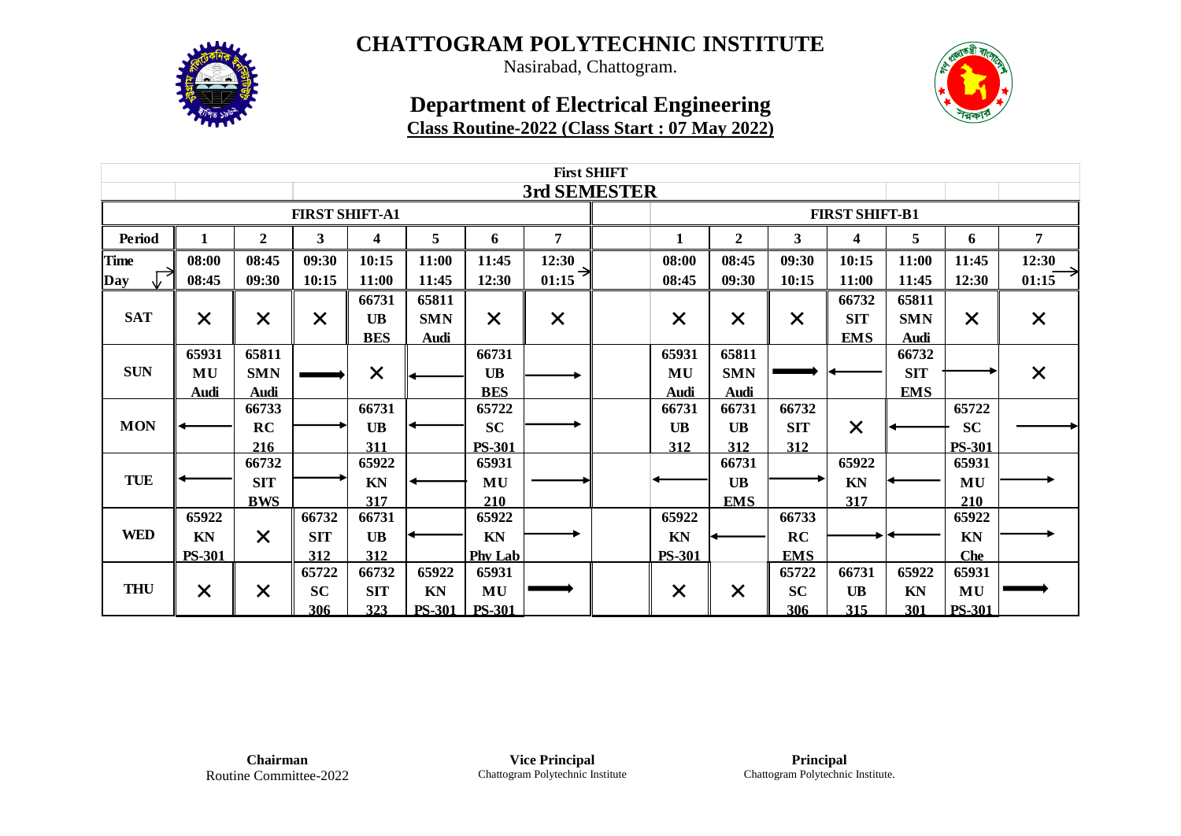

Nasirabad, Chattogram.

### **Department of Electrical Engineering Class Routine-2022 (Class Start : 07 May 2022)**



|             | <b>First SHIFT</b> |                  |                       |                         |                           |                |              |  |               |                  |                       |                          |                           |                                             |  |  |  |  |  |  |
|-------------|--------------------|------------------|-----------------------|-------------------------|---------------------------|----------------|--------------|--|---------------|------------------|-----------------------|--------------------------|---------------------------|---------------------------------------------|--|--|--|--|--|--|
|             |                    |                  |                       |                         |                           |                | 3rd SEMESTER |  |               |                  |                       |                          |                           |                                             |  |  |  |  |  |  |
|             |                    |                  | <b>FIRST SHIFT-A1</b> |                         |                           |                |              |  |               |                  | <b>FIRST SHIFT-B1</b> |                          |                           | 7<br>12:30<br>01:15<br>$\times$<br>$\times$ |  |  |  |  |  |  |
| Period      |                    | $\boldsymbol{2}$ | $\mathbf{3}$          | 4                       | 5                         | 6              | 7            |  | 1             | $\boldsymbol{2}$ | 3                     | $\overline{\mathbf{4}}$  | 5                         | 6                                           |  |  |  |  |  |  |
| <b>Time</b> | 08:00              | 08:45            | 09:30                 | 10:15                   | 11:00                     | 11:45          | 12:30        |  | 08:00         | 08:45            | 09:30                 | 10:15                    | 11:00                     | 11:45                                       |  |  |  |  |  |  |
| Day         | 08:45              | 09:30            | 10:15                 | 11:00                   | 11:45                     | 12:30          | →<br>01:15   |  | 08:45         | 09:30            | 10:15                 | 11:00                    | 11:45                     | 12:30                                       |  |  |  |  |  |  |
| <b>SAT</b>  |                    |                  |                       | 66731                   | 65811                     |                |              |  |               |                  |                       | 66732                    | 65811                     |                                             |  |  |  |  |  |  |
|             | $\times$           | $\times$         | $\times$              | <b>UB</b><br><b>BES</b> | <b>SMN</b><br><b>Audi</b> | $\times$       | $\times$     |  | $\times$      | $\times$         | $\times$              | <b>SIT</b><br><b>EMS</b> | <b>SMN</b><br><b>Audi</b> | $\times$                                    |  |  |  |  |  |  |
|             | 65931              | 65811            |                       |                         |                           | 66731          |              |  | 65931         | 65811            |                       |                          | 66732                     |                                             |  |  |  |  |  |  |
| <b>SUN</b>  | MU                 | <b>SMN</b>       |                       | $\times$                |                           | UB             |              |  | MU            | <b>SMN</b>       |                       |                          | <b>SIT</b>                |                                             |  |  |  |  |  |  |
|             | <b>Audi</b>        | Audi             |                       |                         |                           | <b>BES</b>     |              |  | Audi          | <b>Audi</b>      |                       |                          | <b>EMS</b>                |                                             |  |  |  |  |  |  |
|             |                    | 66733            |                       | 66731                   |                           | 65722          |              |  | 66731         | 66731            | 66732                 |                          |                           | 65722                                       |  |  |  |  |  |  |
| <b>MON</b>  |                    | RC               |                       | <b>UB</b>               |                           | <b>SC</b>      |              |  | <b>UB</b>     | <b>UB</b>        | <b>SIT</b>            | $\times$                 |                           | <b>SC</b>                                   |  |  |  |  |  |  |
|             |                    | 216              |                       | 311                     |                           | <b>PS-301</b>  |              |  | 312           | 312              | 312                   |                          |                           | <b>PS-301</b>                               |  |  |  |  |  |  |
|             |                    | 66732            |                       | 65922                   |                           | 65931          |              |  |               | 66731            |                       | 65922                    |                           | 65931                                       |  |  |  |  |  |  |
| <b>TUE</b>  |                    | <b>SIT</b>       |                       | KN                      |                           | MU             |              |  |               | <b>UB</b>        |                       | KN                       |                           | MU                                          |  |  |  |  |  |  |
|             |                    | <b>BWS</b>       |                       | 317                     |                           | 210            |              |  |               | <b>EMS</b>       |                       | 317                      |                           | 210                                         |  |  |  |  |  |  |
|             | 65922              |                  | 66732                 | 66731                   |                           | 65922          |              |  | 65922         |                  | 66733                 |                          |                           | 65922                                       |  |  |  |  |  |  |
| <b>WED</b>  | KN                 | $\times$         | <b>SIT</b>            | <b>UB</b>               |                           | KN             |              |  | KN            |                  | RC                    |                          |                           | KN                                          |  |  |  |  |  |  |
|             | <b>PS-301</b>      |                  | 312                   | 312                     |                           | <b>Phy Lab</b> |              |  | <b>PS-301</b> |                  | <b>EMS</b>            |                          |                           | <b>Che</b>                                  |  |  |  |  |  |  |
|             |                    |                  | 65722                 | 66732                   | 65922                     | 65931          |              |  |               |                  | 65722                 | 66731                    | 65922                     | 65931                                       |  |  |  |  |  |  |
| <b>THU</b>  | $\times$           | $\times$         | <b>SC</b>             | <b>SIT</b>              | KN                        | MU             |              |  | $\times$      | $\times$         | <b>SC</b>             | <b>UB</b>                | KN                        | MU                                          |  |  |  |  |  |  |
|             |                    |                  | 306                   | 323                     | <b>PS-301</b>             | <b>PS-301</b>  |              |  |               |                  | 306                   | 315                      | 301                       | <b>PS-301</b>                               |  |  |  |  |  |  |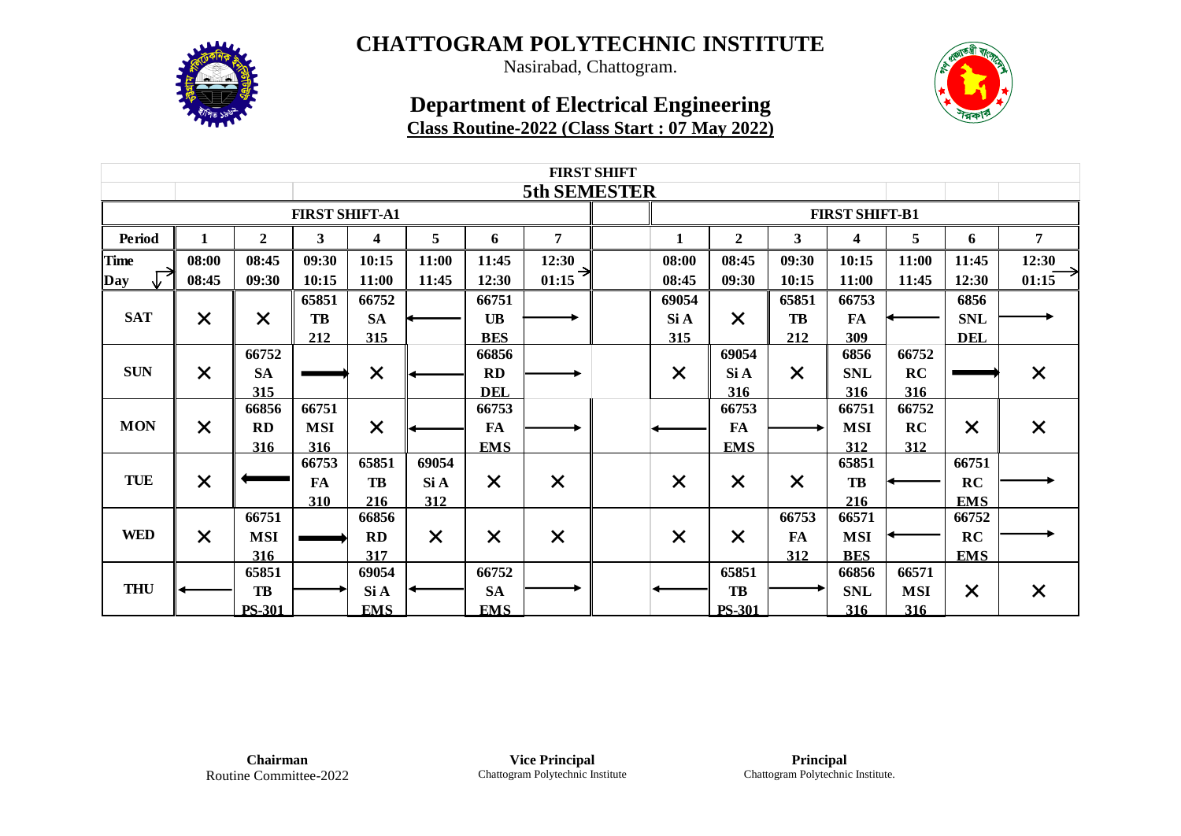

Nasirabad, Chattogram.

### **Department of Electrical Engineering Class Routine-2022 (Class Start : 07 May 2022)**



|             | <b>FIRST SHIFT</b> |               |                       |            |          |            |                |  |          |                  |                       |                         |            |            |                                  |
|-------------|--------------------|---------------|-----------------------|------------|----------|------------|----------------|--|----------|------------------|-----------------------|-------------------------|------------|------------|----------------------------------|
|             |                    |               |                       |            |          |            | 5th SEMESTER   |  |          |                  |                       |                         |            |            |                                  |
|             |                    |               | <b>FIRST SHIFT-A1</b> |            |          |            |                |  |          |                  | <b>FIRST SHIFT-B1</b> |                         |            |            |                                  |
| Period      |                    | $\mathbf{2}$  | $\mathbf{3}$          | 4          | 5        | 6          | $\overline{7}$ |  | 1        | $\boldsymbol{2}$ | 3                     | $\overline{\mathbf{4}}$ | 5          | 6          | $\overline{7}$                   |
| <b>Time</b> | 08:00              | 08:45         | 09:30                 | 10:15      | 11:00    | 11:45      | 12:30          |  | 08:00    | 08:45            | 09:30                 | 10:15                   | 11:00      | 11:45      | 12:30                            |
| Day         | 08:45              | 09:30         | 10:15                 | 11:00      | 11:45    | 12:30      | ⇥<br>01:15     |  | 08:45    | 09:30            | 10:15                 | 11:00                   | 11:45      | 12:30      | 01:15                            |
|             |                    |               | 65851                 | 66752      |          | 66751      |                |  | 69054    |                  | 65851                 | 66753                   |            | 6856       |                                  |
| <b>SAT</b>  | $\times$           | $\times$      | TB                    | <b>SA</b>  |          | <b>UB</b>  |                |  | Si A     | $\times$         | TB                    | <b>FA</b>               |            | <b>SNL</b> |                                  |
|             |                    |               | 212                   | 315        |          | <b>BES</b> |                |  | 315      |                  | 212                   | 309                     |            | <b>DEL</b> | $\times$<br>$\times$<br>$\times$ |
|             |                    | 66752         |                       |            |          | 66856      |                |  |          | 69054            |                       | 6856                    | 66752      |            |                                  |
| <b>SUN</b>  | $\times$           | <b>SA</b>     |                       | $\times$   |          | <b>RD</b>  |                |  | $\times$ | Si A             | $\times$              | <b>SNL</b>              | RC         |            |                                  |
|             |                    | 315           |                       |            |          | <b>DEL</b> |                |  |          | 316              |                       | 316                     | 316        |            |                                  |
|             |                    | 66856         | 66751                 |            |          | 66753      |                |  |          | 66753            |                       | 66751                   | 66752      |            |                                  |
| <b>MON</b>  | $\times$           | RD            | <b>MSI</b>            | $\times$   |          | <b>FA</b>  |                |  |          | <b>FA</b>        |                       | <b>MSI</b>              | RC         | $\times$   |                                  |
|             |                    | 316           | 316                   |            |          | <b>EMS</b> |                |  |          | <b>EMS</b>       |                       | 312                     | 312        |            |                                  |
|             |                    |               | 66753                 | 65851      | 69054    |            |                |  |          |                  |                       | 65851                   |            | 66751      |                                  |
| <b>TUE</b>  | $\times$           |               | <b>FA</b>             | TB         | Si A     | $\times$   | $\times$       |  | $\times$ | $\times$         | $\times$              | <b>TB</b>               |            | RC         |                                  |
|             |                    |               | 310                   | 216        | 312      |            |                |  |          |                  |                       | 216                     |            | <b>EMS</b> |                                  |
|             |                    | 66751         |                       | 66856      |          |            |                |  |          |                  | 66753                 | 66571                   |            | 66752      |                                  |
| <b>WED</b>  | $\times$           | <b>MSI</b>    |                       | <b>RD</b>  | $\times$ | $\times$   | $\times$       |  | $\times$ | $\times$         | <b>FA</b>             | <b>MSI</b>              |            | RC         |                                  |
|             |                    | 316           |                       | 317        |          |            |                |  |          |                  | 312                   | <b>BES</b>              |            | <b>EMS</b> |                                  |
|             |                    | 65851         |                       | 69054      |          | 66752      |                |  |          | 65851            |                       | 66856                   | 66571      |            |                                  |
| <b>THU</b>  |                    | TB            |                       | Si A       |          | <b>SA</b>  |                |  |          | <b>TB</b>        |                       | <b>SNL</b>              | <b>MSI</b> | $\times$   |                                  |
|             |                    | <b>PS-301</b> |                       | <b>EMS</b> |          | <b>EMS</b> |                |  |          | <b>PS-301</b>    |                       | 316                     | 316        |            |                                  |